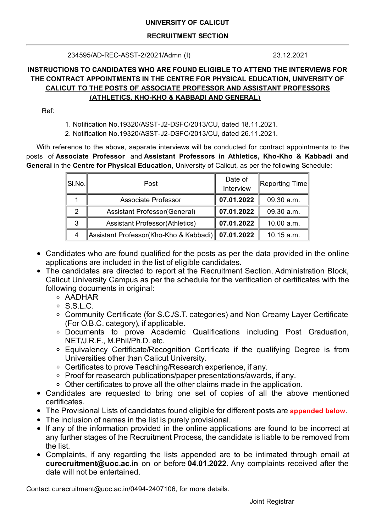## **UNIVERSITY OF CALICUT**

## **RECRUITMENT SECTION**

234595/AD-REC-ASST-2/2021/Admn (I) 23.12.2021

# **INSTRUCTIONS TO CANDIDATES WHO ARE FOUND ELIGIBLE TO ATTEND THE INTERVIEWS FOR THE CONTRACT APPOINTMENTS IN THE CENTRE FOR PHYSICAL EDUCATION, UNIVERSITY OF CALICUT TO THE POSTS OF ASSOCIATE PROFESSOR AND ASSISTANT PROFESSORS (ATHLETICS, KHO-KHO & KABBADI AND GENERAL)**

Ref:

1. Notification No.19320/ASST-J2-DSFC/2013/CU, dated 18.11.2021.

2. Notification No.19320/ASST-J2-DSFC/2013/CU, dated 26.11.2021.

With reference to the above, separate interviews will be conducted for contract appointments to the posts of **Associate Professor** and **Assistant Professors in Athletics, Kho-Kho & Kabbadi and General** in the **Centre for Physical Education**, University of Calicut, as per the following Schedule:

| $\ $ SI.No. $\ $ | Post                                                | Date of<br>Interview | ∥Reporting Time∥ |
|------------------|-----------------------------------------------------|----------------------|------------------|
|                  | <b>Associate Professor</b>                          | 07.01.2022           | 09.30 a.m.       |
| 2                | Assistant Professor(General)                        | 07.01.2022           | 09.30 a.m.       |
| 3                | <b>Assistant Professor (Athletics)</b>              | 07.01.2022           | 10.00 a.m.       |
| 4                | Assistant Professor(Kho-Kho & Kabbadi)   07.01.2022 |                      | 10.15 a.m.       |

- Candidates who are found qualified for the posts as per the data provided in the online applications are included in the list of eligible candidates.
- The candidates are directed to report at the Recruitment Section, Administration Block, Calicut University Campus as per the schedule for the verification of certificates with the following documents in original:
	- AADHAR
	- $\circ$  S.S.L.C.
	- Community Certificate (for S.C./S.T. categories) and Non Creamy Layer Certificate (For O.B.C. category), if applicable.
	- Documents to prove Academic Qualifications including Post Graduation, NET/J.R.F., M.Phil/Ph.D. etc.
	- Equivalency Certificate/Recognition Certificate if the qualifying Degree is from Universities other than Calicut University.
	- Certificates to prove Teaching/Research experience, if any.
	- Proof for reasearch publications/paper presentations/awards, if any.
	- Other certificates to prove all the other claims made in the application.
- Candidates are requested to bring one set of copies of all the above mentioned certificates.
- The Provisional Lists of candidates found eligible for different posts are **appended below**.
- The inclusion of names in the list is purely provisional.
- If any of the information provided in the online applications are found to be incorrect at any further stages of the Recruitment Process, the candidate is liable to be removed from the list.
- Complaints, if any regarding the lists appended are to be intimated through email at **curecruitment@uoc.ac.in** on or before **04.01.2022**. Any complaints received after the date will not be entertained.

Contact curecruitment@uoc.ac.in/0494-2407106, for more details.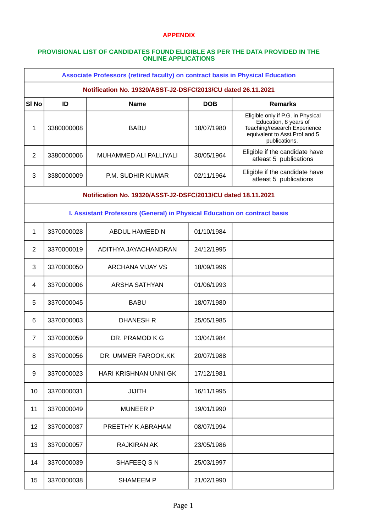### **APPENDIX**

#### **PROVISIONAL LIST OF CANDIDATES FOUND ELIGIBLE AS PER THE DATA PROVIDED IN THE ONLINE APPLICATIONS**

| <b>Associate Professors (retired faculty) on contract basis in Physical Education</b> |            |                               |            |                                                                                                                                               |  |  |  |
|---------------------------------------------------------------------------------------|------------|-------------------------------|------------|-----------------------------------------------------------------------------------------------------------------------------------------------|--|--|--|
| Notification No. 19320/ASST-J2-DSFC/2013/CU dated 26.11.2021                          |            |                               |            |                                                                                                                                               |  |  |  |
| SI <sub>No</sub>                                                                      | ID         | <b>Name</b>                   | <b>DOB</b> | <b>Remarks</b>                                                                                                                                |  |  |  |
| 1                                                                                     | 3380000008 | <b>BABU</b>                   | 18/07/1980 | Eligible only if P.G. in Physical<br>Education, 8 years of<br>Teaching/research Experience<br>equivalent to Asst. Prof and 5<br>publications. |  |  |  |
| $\overline{2}$                                                                        | 3380000006 | <b>MUHAMMED ALI PALLIYALI</b> | 30/05/1964 | Eligible if the candidate have<br>atleast 5 publications                                                                                      |  |  |  |
| 3                                                                                     | 3380000009 | P.M. SUDHIR KUMAR             | 02/11/1964 | Eligible if the candidate have<br>atleast 5 publications                                                                                      |  |  |  |
| Notification No. 19320/ASST-J2-DSFC/2013/CU dated 18.11.2021                          |            |                               |            |                                                                                                                                               |  |  |  |
| I. Assistant Professors (General) in Physical Education on contract basis             |            |                               |            |                                                                                                                                               |  |  |  |
| 1                                                                                     | 3370000028 | ABDUL HAMEED N                | 01/10/1984 |                                                                                                                                               |  |  |  |
| $\overline{2}$                                                                        | 3370000019 | ADITHYA JAYACHANDRAN          | 24/12/1995 |                                                                                                                                               |  |  |  |
| 3                                                                                     | 3370000050 | <b>ARCHANA VIJAY VS</b>       | 18/09/1996 |                                                                                                                                               |  |  |  |
| 4                                                                                     | 3370000006 | <b>ARSHA SATHYAN</b>          | 01/06/1993 |                                                                                                                                               |  |  |  |
| 5                                                                                     | 3370000045 | <b>BABU</b>                   | 18/07/1980 |                                                                                                                                               |  |  |  |
| 6                                                                                     | 3370000003 | <b>DHANESH R</b>              | 25/05/1985 |                                                                                                                                               |  |  |  |
| $\overline{7}$                                                                        | 3370000059 | DR. PRAMOD K G                | 13/04/1984 |                                                                                                                                               |  |  |  |
| 8                                                                                     | 3370000056 | DR. UMMER FAROOK.KK           | 20/07/1988 |                                                                                                                                               |  |  |  |
| 9                                                                                     | 3370000023 | HARI KRISHNAN UNNI GK         | 17/12/1981 |                                                                                                                                               |  |  |  |
| 10                                                                                    | 3370000031 | <b>JIJITH</b>                 | 16/11/1995 |                                                                                                                                               |  |  |  |
| 11                                                                                    | 3370000049 | <b>MUNEER P</b>               | 19/01/1990 |                                                                                                                                               |  |  |  |
| 12                                                                                    | 3370000037 | PREETHY K ABRAHAM             | 08/07/1994 |                                                                                                                                               |  |  |  |
| 13                                                                                    | 3370000057 | RAJKIRAN AK                   | 23/05/1986 |                                                                                                                                               |  |  |  |
| 14                                                                                    | 3370000039 | SHAFEEQ SN                    | 25/03/1997 |                                                                                                                                               |  |  |  |
| 15                                                                                    | 3370000038 | <b>SHAMEEM P</b>              | 21/02/1990 |                                                                                                                                               |  |  |  |